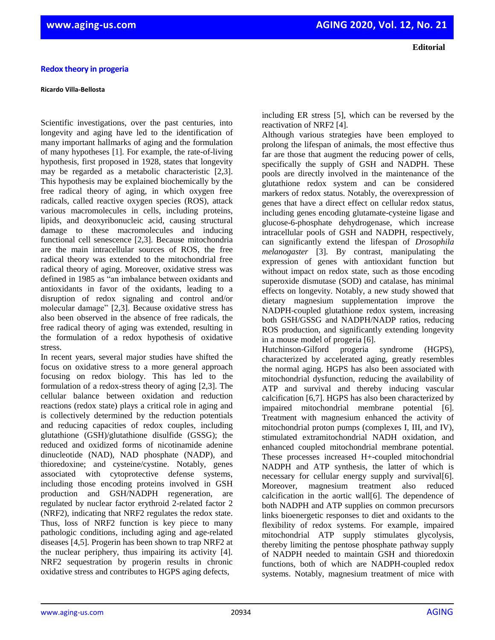## **Ricardo Villa-Bellosta**

Scientific investigations, over the past centuries, into longevity and aging have led to the identification of many important hallmarks of aging and the formulation of many hypotheses [1]. For example, the rate-of-living hypothesis, first proposed in 1928, states that longevity may be regarded as a metabolic characteristic [2,3]. This hypothesis may be explained biochemically by the free radical theory of aging, in which oxygen free radicals, called reactive oxygen species (ROS), attack various macromolecules in cells, including proteins, lipids, and deoxyribonucleic acid, causing structural damage to these macromolecules and inducing functional cell senescence [2,3]. Because mitochondria are the main intracellular sources of ROS, the free radical theory was extended to the mitochondrial free radical theory of aging. Moreover, oxidative stress was defined in 1985 as "an imbalance between oxidants and antioxidants in favor of the oxidants, leading to a disruption of redox signaling and control and/or molecular damage" [2,3]. Because oxidative stress has also been observed in the absence of free radicals, the free radical theory of aging was extended, resulting in the formulation of a redox hypothesis of oxidative stress.

In recent years, several major studies have shifted the focus on oxidative stress to a more general approach focusing on redox biology. This has led to the formulation of a redox-stress theory of aging [2,3]. The cellular balance between oxidation and reduction reactions (redox state) plays a critical role in aging and is collectively determined by the reduction potentials and reducing capacities of redox couples, including glutathione (GSH)/glutathione disulfide (GSSG); the reduced and oxidized forms of nicotinamide adenine dinucleotide (NAD), NAD phosphate (NADP), and thioredoxine; and cysteine/cystine. Notably, genes associated with cytoprotective defense systems, including those encoding proteins involved in GSH production and GSH/NADPH regeneration, are regulated by nuclear factor erythroid 2-related factor 2 (NRF2), indicating that NRF2 regulates the redox state. Thus, loss of NRF2 function is key piece to many pathologic conditions, including aging and age-related diseases [4,5]. Progerin has been shown to trap NRF2 at the nuclear periphery, thus impairing its activity [4]. NRF2 sequestration by progerin results in chronic oxidative stress and contributes to HGPS aging defects,

including ER stress [5], which can be reversed by the reactivation of NRF2 [4].

Although various strategies have been employed to prolong the lifespan of animals, the most effective thus far are those that augment the reducing power of cells, specifically the supply of GSH and NADPH. These pools are directly involved in the maintenance of the glutathione redox system and can be considered markers of redox status. Notably, the overexpression of genes that have a direct effect on cellular redox status, including genes encoding glutamate-cysteine ligase and glucose-6-phosphate dehydrogenase, which increase intracellular pools of GSH and NADPH, respectively, can significantly extend the lifespan of *Drosophila melanogaster* [3]. By contrast, manipulating the expression of genes with antioxidant function but without impact on redox state, such as those encoding superoxide dismutase (SOD) and catalase, has minimal effects on longevity. Notably, a new study showed that dietary magnesium supplementation improve the NADPH-coupled glutathione redox system, increasing both GSH/GSSG and NADPH/NADP ratios, reducing ROS production, and significantly extending longevity in a mouse model of progeria [6].

Hutchinson-Gilford progeria syndrome (HGPS), characterized by accelerated aging, greatly resembles the normal aging. HGPS has also been associated with mitochondrial dysfunction, reducing the availability of ATP and survival and thereby inducing vascular calcification [6,7]. HGPS has also been characterized by impaired mitochondrial membrane potential [6]. Treatment with magnesium enhanced the activity of mitochondrial proton pumps (complexes I, III, and IV), stimulated extramitochondrial NADH oxidation, and enhanced coupled mitochondrial membrane potential. These processes increased H+-coupled mitochondrial NADPH and ATP synthesis, the latter of which is necessary for cellular energy supply and survival[6]. Moreover, magnesium treatment also reduced calcification in the aortic wall[6]. The dependence of both NADPH and ATP supplies on common precursors links bioenergetic responses to diet and oxidants to the flexibility of redox systems. For example, impaired mitochondrial ATP supply stimulates glycolysis, thereby limiting the pentose phosphate pathway supply of NADPH needed to maintain GSH and thioredoxin functions, both of which are NADPH-coupled redox systems. Notably, magnesium treatment of mice with